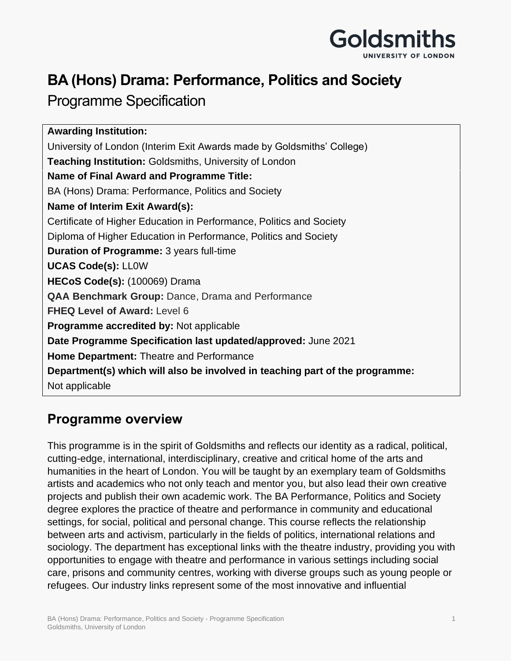

## **BA (Hons) Drama: Performance, Politics and Society**

## Programme Specification

**Awarding Institution:** University of London (Interim Exit Awards made by Goldsmiths' College) **Teaching Institution:** Goldsmiths, University of London **Name of Final Award and Programme Title:** BA (Hons) Drama: Performance, Politics and Society **Name of Interim Exit Award(s):**  Certificate of Higher Education in Performance, Politics and Society Diploma of Higher Education in Performance, Politics and Society **Duration of Programme:** 3 years full-time **UCAS Code(s):** LL0W **HECoS Code(s):** (100069) Drama **QAA Benchmark Group:** Dance, Drama and Performance **FHEQ Level of Award:** Level 6 **Programme accredited by:** Not applicable **Date Programme Specification last updated/approved:** June 2021 **Home Department:** Theatre and Performance **Department(s) which will also be involved in teaching part of the programme:** Not applicable

## **Programme overview**

This programme is in the spirit of Goldsmiths and reflects our identity as a radical, political, cutting-edge, international, interdisciplinary, creative and critical home of the arts and humanities in the heart of London. You will be taught by an exemplary team of Goldsmiths artists and academics who not only teach and mentor you, but also lead their own creative projects and publish their own academic work. The BA Performance, Politics and Society degree explores the practice of theatre and performance in community and educational settings, for social, political and personal change. This course reflects the relationship between arts and activism, particularly in the fields of politics, international relations and sociology. The department has exceptional links with the theatre industry, providing you with opportunities to engage with theatre and performance in various settings including social care, prisons and community centres, working with diverse groups such as young people or refugees. Our industry links represent some of the most innovative and influential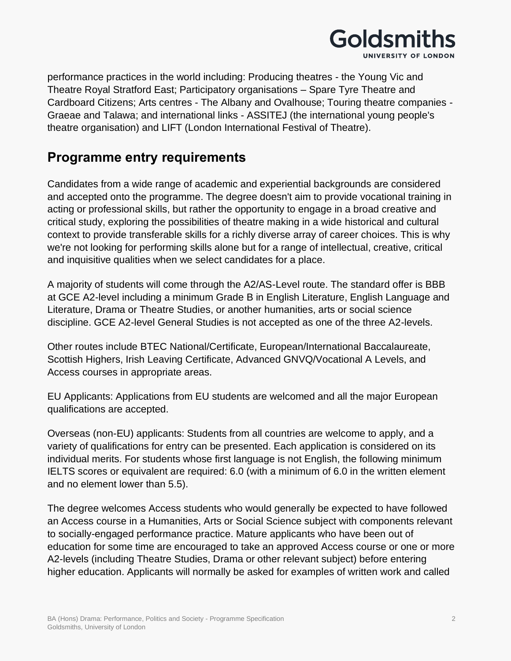

performance practices in the world including: Producing theatres - the Young Vic and Theatre Royal Stratford East; Participatory organisations – Spare Tyre Theatre and Cardboard Citizens; Arts centres - The Albany and Ovalhouse; Touring theatre companies - Graeae and Talawa; and international links - ASSITEJ (the international young people's theatre organisation) and LIFT (London International Festival of Theatre).

### **Programme entry requirements**

Candidates from a wide range of academic and experiential backgrounds are considered and accepted onto the programme. The degree doesn't aim to provide vocational training in acting or professional skills, but rather the opportunity to engage in a broad creative and critical study, exploring the possibilities of theatre making in a wide historical and cultural context to provide transferable skills for a richly diverse array of career choices. This is why we're not looking for performing skills alone but for a range of intellectual, creative, critical and inquisitive qualities when we select candidates for a place.

A majority of students will come through the A2/AS-Level route. The standard offer is BBB at GCE A2-level including a minimum Grade B in English Literature, English Language and Literature, Drama or Theatre Studies, or another humanities, arts or social science discipline. GCE A2-level General Studies is not accepted as one of the three A2-levels.

Other routes include BTEC National/Certificate, European/International Baccalaureate, Scottish Highers, Irish Leaving Certificate, Advanced GNVQ/Vocational A Levels, and Access courses in appropriate areas.

EU Applicants: Applications from EU students are welcomed and all the major European qualifications are accepted.

Overseas (non-EU) applicants: Students from all countries are welcome to apply, and a variety of qualifications for entry can be presented. Each application is considered on its individual merits. For students whose first language is not English, the following minimum IELTS scores or equivalent are required: 6.0 (with a minimum of 6.0 in the written element and no element lower than 5.5).

The degree welcomes Access students who would generally be expected to have followed an Access course in a Humanities, Arts or Social Science subject with components relevant to socially-engaged performance practice. Mature applicants who have been out of education for some time are encouraged to take an approved Access course or one or more A2-levels (including Theatre Studies, Drama or other relevant subject) before entering higher education. Applicants will normally be asked for examples of written work and called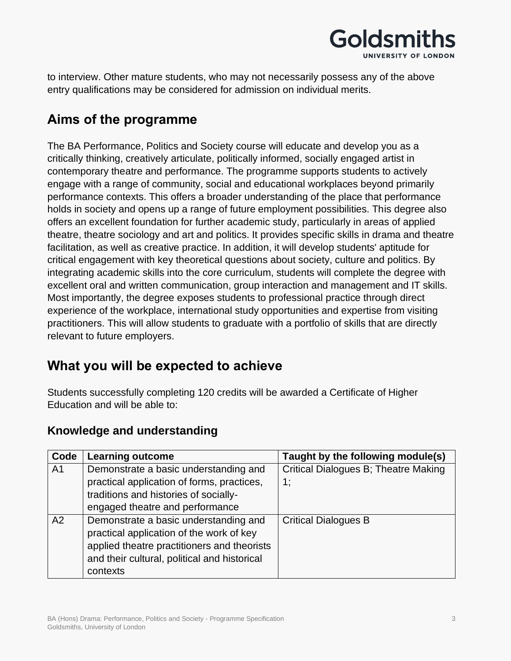

to interview. Other mature students, who may not necessarily possess any of the above entry qualifications may be considered for admission on individual merits.

## **Aims of the programme**

The BA Performance, Politics and Society course will educate and develop you as a critically thinking, creatively articulate, politically informed, socially engaged artist in contemporary theatre and performance. The programme supports students to actively engage with a range of community, social and educational workplaces beyond primarily performance contexts. This offers a broader understanding of the place that performance holds in society and opens up a range of future employment possibilities. This degree also offers an excellent foundation for further academic study, particularly in areas of applied theatre, theatre sociology and art and politics. It provides specific skills in drama and theatre facilitation, as well as creative practice. In addition, it will develop students' aptitude for critical engagement with key theoretical questions about society, culture and politics. By integrating academic skills into the core curriculum, students will complete the degree with excellent oral and written communication, group interaction and management and IT skills. Most importantly, the degree exposes students to professional practice through direct experience of the workplace, international study opportunities and expertise from visiting practitioners. This will allow students to graduate with a portfolio of skills that are directly relevant to future employers.

## **What you will be expected to achieve**

Students successfully completing 120 credits will be awarded a Certificate of Higher Education and will be able to:

| Code           | <b>Learning outcome</b>                      | Taught by the following module(s)    |
|----------------|----------------------------------------------|--------------------------------------|
| A <sub>1</sub> | Demonstrate a basic understanding and        | Critical Dialogues B; Theatre Making |
|                | practical application of forms, practices,   | 1;                                   |
|                | traditions and histories of socially-        |                                      |
|                | engaged theatre and performance              |                                      |
| A2             | Demonstrate a basic understanding and        | <b>Critical Dialogues B</b>          |
|                | practical application of the work of key     |                                      |
|                | applied theatre practitioners and theorists  |                                      |
|                | and their cultural, political and historical |                                      |
|                | contexts                                     |                                      |

### **Knowledge and understanding**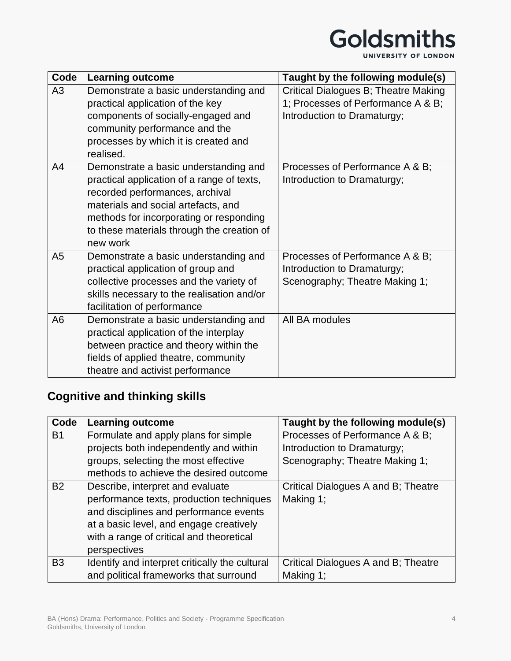# Goldsmiths

UNIVERSITY OF LONDON

| Code           | <b>Learning outcome</b>                    | Taught by the following module(s)    |
|----------------|--------------------------------------------|--------------------------------------|
| A3             | Demonstrate a basic understanding and      | Critical Dialogues B; Theatre Making |
|                | practical application of the key           | 1; Processes of Performance A & B;   |
|                | components of socially-engaged and         | Introduction to Dramaturgy;          |
|                | community performance and the              |                                      |
|                | processes by which it is created and       |                                      |
|                | realised.                                  |                                      |
| A <sub>4</sub> | Demonstrate a basic understanding and      | Processes of Performance A & B;      |
|                | practical application of a range of texts, | Introduction to Dramaturgy;          |
|                | recorded performances, archival            |                                      |
|                | materials and social artefacts, and        |                                      |
|                | methods for incorporating or responding    |                                      |
|                | to these materials through the creation of |                                      |
|                | new work                                   |                                      |
| A <sub>5</sub> | Demonstrate a basic understanding and      | Processes of Performance A & B;      |
|                | practical application of group and         | Introduction to Dramaturgy;          |
|                | collective processes and the variety of    | Scenography; Theatre Making 1;       |
|                | skills necessary to the realisation and/or |                                      |
|                | facilitation of performance                |                                      |
| A <sub>6</sub> | Demonstrate a basic understanding and      | All BA modules                       |
|                | practical application of the interplay     |                                      |
|                | between practice and theory within the     |                                      |
|                | fields of applied theatre, community       |                                      |
|                | theatre and activist performance           |                                      |

## **Cognitive and thinking skills**

| Code      | <b>Learning outcome</b>                        | Taught by the following module(s)   |
|-----------|------------------------------------------------|-------------------------------------|
| <b>B1</b> | Formulate and apply plans for simple           | Processes of Performance A & B;     |
|           | projects both independently and within         | Introduction to Dramaturgy;         |
|           | groups, selecting the most effective           | Scenography; Theatre Making 1;      |
|           | methods to achieve the desired outcome         |                                     |
| <b>B2</b> | Describe, interpret and evaluate               | Critical Dialogues A and B; Theatre |
|           | performance texts, production techniques       | Making 1;                           |
|           | and disciplines and performance events         |                                     |
|           | at a basic level, and engage creatively        |                                     |
|           | with a range of critical and theoretical       |                                     |
|           | perspectives                                   |                                     |
| <b>B3</b> | Identify and interpret critically the cultural | Critical Dialogues A and B; Theatre |
|           | and political frameworks that surround         | Making 1;                           |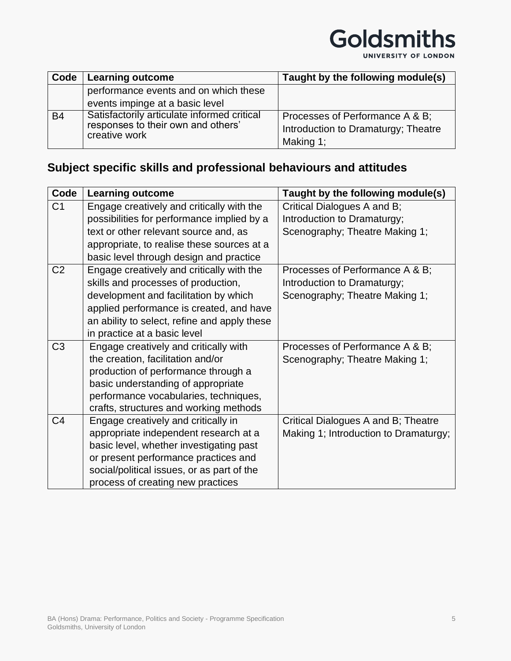

| Code      | Learning outcome                                                                                   | Taught by the following module(s)                                                   |
|-----------|----------------------------------------------------------------------------------------------------|-------------------------------------------------------------------------------------|
|           | performance events and on which these                                                              |                                                                                     |
|           | events impinge at a basic level                                                                    |                                                                                     |
| <b>B4</b> | Satisfactorily articulate informed critical<br>responses to their own and others'<br>creative work | Processes of Performance A & B;<br>Introduction to Dramaturgy; Theatre<br>Making 1; |

## **Subject specific skills and professional behaviours and attitudes**

| Code           | <b>Learning outcome</b>                      | Taught by the following module(s)     |
|----------------|----------------------------------------------|---------------------------------------|
| C <sub>1</sub> | Engage creatively and critically with the    | Critical Dialogues A and B;           |
|                | possibilities for performance implied by a   | Introduction to Dramaturgy;           |
|                | text or other relevant source and, as        | Scenography; Theatre Making 1;        |
|                | appropriate, to realise these sources at a   |                                       |
|                | basic level through design and practice      |                                       |
| C <sub>2</sub> | Engage creatively and critically with the    | Processes of Performance A & B;       |
|                | skills and processes of production,          | Introduction to Dramaturgy;           |
|                | development and facilitation by which        | Scenography; Theatre Making 1;        |
|                | applied performance is created, and have     |                                       |
|                | an ability to select, refine and apply these |                                       |
|                | in practice at a basic level                 |                                       |
| C <sub>3</sub> | Engage creatively and critically with        | Processes of Performance A & B;       |
|                | the creation, facilitation and/or            | Scenography; Theatre Making 1;        |
|                | production of performance through a          |                                       |
|                | basic understanding of appropriate           |                                       |
|                | performance vocabularies, techniques,        |                                       |
|                | crafts, structures and working methods       |                                       |
| C <sub>4</sub> | Engage creatively and critically in          | Critical Dialogues A and B; Theatre   |
|                | appropriate independent research at a        | Making 1; Introduction to Dramaturgy; |
|                | basic level, whether investigating past      |                                       |
|                | or present performance practices and         |                                       |
|                | social/political issues, or as part of the   |                                       |
|                | process of creating new practices            |                                       |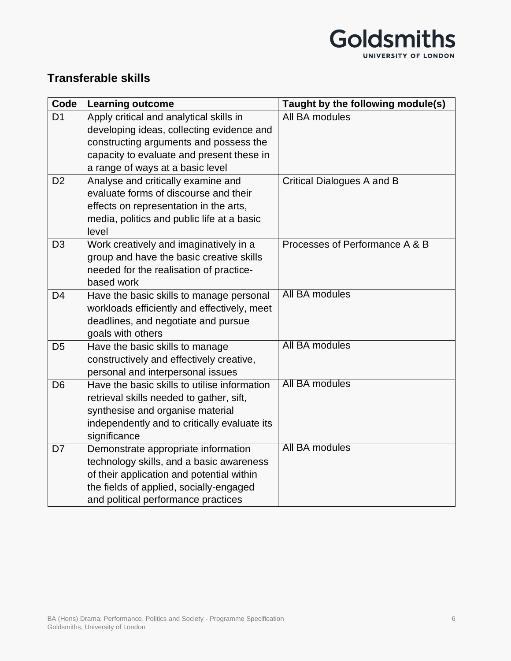

### **Transferable skills**

| Code           | <b>Learning outcome</b>                      | Taught by the following module(s) |
|----------------|----------------------------------------------|-----------------------------------|
| D <sub>1</sub> | Apply critical and analytical skills in      | All BA modules                    |
|                | developing ideas, collecting evidence and    |                                   |
|                | constructing arguments and possess the       |                                   |
|                | capacity to evaluate and present these in    |                                   |
|                | a range of ways at a basic level             |                                   |
| D <sub>2</sub> | Analyse and critically examine and           | Critical Dialogues A and B        |
|                | evaluate forms of discourse and their        |                                   |
|                | effects on representation in the arts,       |                                   |
|                | media, politics and public life at a basic   |                                   |
|                | level                                        |                                   |
| D <sub>3</sub> | Work creatively and imaginatively in a       | Processes of Performance A & B    |
|                | group and have the basic creative skills     |                                   |
|                | needed for the realisation of practice-      |                                   |
|                | based work                                   |                                   |
| D <sub>4</sub> | Have the basic skills to manage personal     | All BA modules                    |
|                | workloads efficiently and effectively, meet  |                                   |
|                | deadlines, and negotiate and pursue          |                                   |
|                | goals with others                            |                                   |
| D <sub>5</sub> | Have the basic skills to manage              | All BA modules                    |
|                | constructively and effectively creative,     |                                   |
|                | personal and interpersonal issues            |                                   |
| D <sub>6</sub> | Have the basic skills to utilise information | All BA modules                    |
|                | retrieval skills needed to gather, sift,     |                                   |
|                | synthesise and organise material             |                                   |
|                | independently and to critically evaluate its |                                   |
|                | significance                                 |                                   |
| D7             | Demonstrate appropriate information          | All BA modules                    |
|                | technology skills, and a basic awareness     |                                   |
|                | of their application and potential within    |                                   |
|                | the fields of applied, socially-engaged      |                                   |
|                | and political performance practices          |                                   |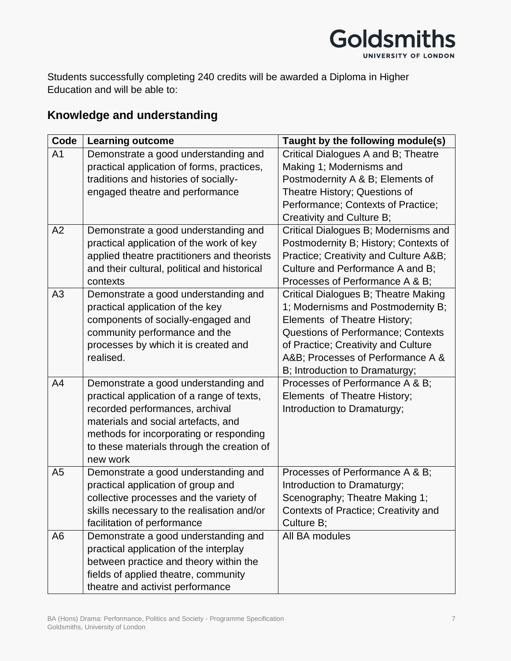

Students successfully completing 240 credits will be awarded a Diploma in Higher Education and will be able to:

### **Knowledge and understanding**

| Code           | <b>Learning outcome</b>                      | Taught by the following module(s)         |
|----------------|----------------------------------------------|-------------------------------------------|
| A <sub>1</sub> | Demonstrate a good understanding and         | Critical Dialogues A and B; Theatre       |
|                | practical application of forms, practices,   | Making 1; Modernisms and                  |
|                | traditions and histories of socially-        | Postmodernity A & B; Elements of          |
|                | engaged theatre and performance              | Theatre History; Questions of             |
|                |                                              | Performance; Contexts of Practice;        |
|                |                                              | Creativity and Culture B;                 |
| A2             | Demonstrate a good understanding and         | Critical Dialogues B; Modernisms and      |
|                | practical application of the work of key     | Postmodernity B; History; Contexts of     |
|                | applied theatre practitioners and theorists  | Practice; Creativity and Culture A&B      |
|                | and their cultural, political and historical | Culture and Performance A and B;          |
|                | contexts                                     | Processes of Performance A & B;           |
| A3             | Demonstrate a good understanding and         | Critical Dialogues B; Theatre Making      |
|                | practical application of the key             | 1; Modernisms and Postmodernity B;        |
|                | components of socially-engaged and           | Elements of Theatre History;              |
|                | community performance and the                | <b>Questions of Performance; Contexts</b> |
|                | processes by which it is created and         | of Practice; Creativity and Culture       |
|                | realised.                                    | A&B Processes of Performance A &          |
|                |                                              | B; Introduction to Dramaturgy;            |
| A4             | Demonstrate a good understanding and         | Processes of Performance A & B;           |
|                | practical application of a range of texts,   | Elements of Theatre History;              |
|                | recorded performances, archival              | Introduction to Dramaturgy;               |
|                | materials and social artefacts, and          |                                           |
|                | methods for incorporating or responding      |                                           |
|                | to these materials through the creation of   |                                           |
|                | new work                                     |                                           |
| A <sub>5</sub> | Demonstrate a good understanding and         | Processes of Performance A & B;           |
|                | practical application of group and           | Introduction to Dramaturgy;               |
|                | collective processes and the variety of      | Scenography; Theatre Making 1;            |
|                | skills necessary to the realisation and/or   | Contexts of Practice; Creativity and      |
|                | facilitation of performance                  | Culture B;                                |
| A <sub>6</sub> | Demonstrate a good understanding and         | All BA modules                            |
|                | practical application of the interplay       |                                           |
|                | between practice and theory within the       |                                           |
|                | fields of applied theatre, community         |                                           |
|                | theatre and activist performance             |                                           |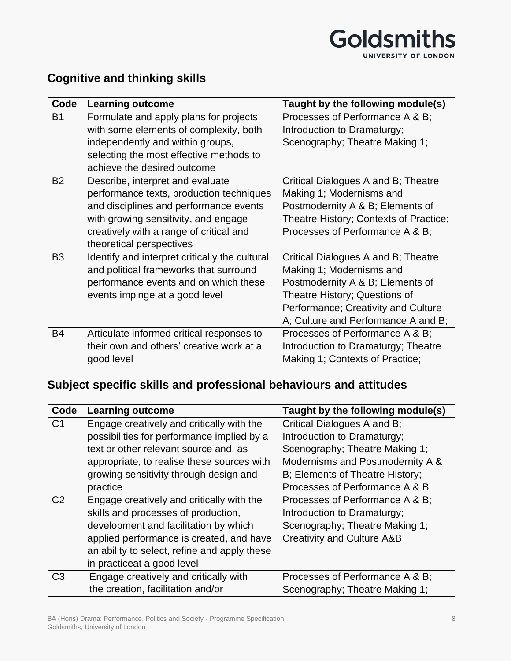

### **Cognitive and thinking skills**

| Code           | <b>Learning outcome</b>                        | Taught by the following module(s)      |
|----------------|------------------------------------------------|----------------------------------------|
| <b>B1</b>      | Formulate and apply plans for projects         | Processes of Performance A & B;        |
|                | with some elements of complexity, both         | Introduction to Dramaturgy;            |
|                | independently and within groups,               | Scenography; Theatre Making 1;         |
|                | selecting the most effective methods to        |                                        |
|                | achieve the desired outcome                    |                                        |
| <b>B2</b>      | Describe, interpret and evaluate               | Critical Dialogues A and B; Theatre    |
|                | performance texts, production techniques       | Making 1; Modernisms and               |
|                | and disciplines and performance events         | Postmodernity A & B; Elements of       |
|                | with growing sensitivity, and engage           | Theatre History; Contexts of Practice; |
|                | creatively with a range of critical and        | Processes of Performance A & B;        |
|                | theoretical perspectives                       |                                        |
| B <sub>3</sub> | Identify and interpret critically the cultural | Critical Dialogues A and B; Theatre    |
|                | and political frameworks that surround         | Making 1; Modernisms and               |
|                | performance events and on which these          | Postmodernity A & B; Elements of       |
|                | events impinge at a good level                 | Theatre History; Questions of          |
|                |                                                | Performance; Creativity and Culture    |
|                |                                                | A; Culture and Performance A and B;    |
| <b>B4</b>      | Articulate informed critical responses to      | Processes of Performance A & B;        |
|                | their own and others' creative work at a       | Introduction to Dramaturgy; Theatre    |
|                | good level                                     | Making 1; Contexts of Practice;        |

## **Subject specific skills and professional behaviours and attitudes**

| Code           | <b>Learning outcome</b>                      | Taught by the following module(s)     |
|----------------|----------------------------------------------|---------------------------------------|
| C <sub>1</sub> | Engage creatively and critically with the    | Critical Dialogues A and B;           |
|                | possibilities for performance implied by a   | Introduction to Dramaturgy;           |
|                | text or other relevant source and, as        | Scenography; Theatre Making 1;        |
|                | appropriate, to realise these sources with   | Modernisms and Postmodernity A &      |
|                | growing sensitivity through design and       | B; Elements of Theatre History;       |
|                | practice                                     | Processes of Performance A & B        |
| C <sub>2</sub> | Engage creatively and critically with the    | Processes of Performance A & B;       |
|                | skills and processes of production,          | Introduction to Dramaturgy;           |
|                | development and facilitation by which        | Scenography; Theatre Making 1;        |
|                | applied performance is created, and have     | <b>Creativity and Culture A&amp;B</b> |
|                | an ability to select, refine and apply these |                                       |
|                | in practiceat a good level                   |                                       |
| C <sub>3</sub> | Engage creatively and critically with        | Processes of Performance A & B;       |
|                | the creation, facilitation and/or            | Scenography; Theatre Making 1;        |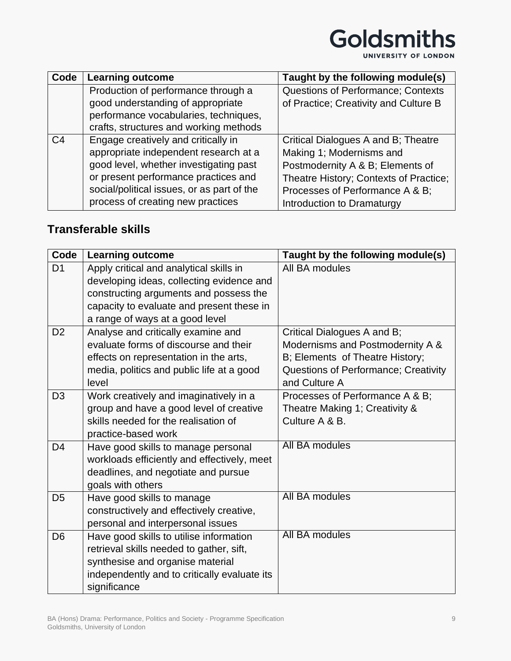

| Code           | <b>Learning outcome</b>                    | Taught by the following module(s)      |
|----------------|--------------------------------------------|----------------------------------------|
|                | Production of performance through a        | Questions of Performance; Contexts     |
|                | good understanding of appropriate          | of Practice; Creativity and Culture B  |
|                | performance vocabularies, techniques,      |                                        |
|                | crafts, structures and working methods     |                                        |
| C <sub>4</sub> | Engage creatively and critically in        | Critical Dialogues A and B; Theatre    |
|                | appropriate independent research at a      | Making 1; Modernisms and               |
|                | good level, whether investigating past     | Postmodernity A & B; Elements of       |
|                | or present performance practices and       | Theatre History; Contexts of Practice; |
|                | social/political issues, or as part of the | Processes of Performance A & B;        |
|                | process of creating new practices          | Introduction to Dramaturgy             |

### **Transferable skills**

| Code           | <b>Learning outcome</b>                      | Taught by the following module(s)    |
|----------------|----------------------------------------------|--------------------------------------|
| D <sub>1</sub> | Apply critical and analytical skills in      | All BA modules                       |
|                | developing ideas, collecting evidence and    |                                      |
|                | constructing arguments and possess the       |                                      |
|                | capacity to evaluate and present these in    |                                      |
|                | a range of ways at a good level              |                                      |
| D <sub>2</sub> | Analyse and critically examine and           | Critical Dialogues A and B;          |
|                | evaluate forms of discourse and their        | Modernisms and Postmodernity A &     |
|                | effects on representation in the arts,       | B; Elements of Theatre History;      |
|                | media, politics and public life at a good    | Questions of Performance; Creativity |
|                | level                                        | and Culture A                        |
| D <sub>3</sub> | Work creatively and imaginatively in a       | Processes of Performance A & B;      |
|                | group and have a good level of creative      | Theatre Making 1; Creativity &       |
|                | skills needed for the realisation of         | Culture A & B.                       |
|                | practice-based work                          |                                      |
| D <sub>4</sub> | Have good skills to manage personal          | All BA modules                       |
|                | workloads efficiently and effectively, meet  |                                      |
|                | deadlines, and negotiate and pursue          |                                      |
|                | goals with others                            | All BA modules                       |
| D <sub>5</sub> | Have good skills to manage                   |                                      |
|                | constructively and effectively creative,     |                                      |
|                | personal and interpersonal issues            |                                      |
| D <sub>6</sub> | Have good skills to utilise information      | All BA modules                       |
|                | retrieval skills needed to gather, sift,     |                                      |
|                | synthesise and organise material             |                                      |
|                | independently and to critically evaluate its |                                      |
|                | significance                                 |                                      |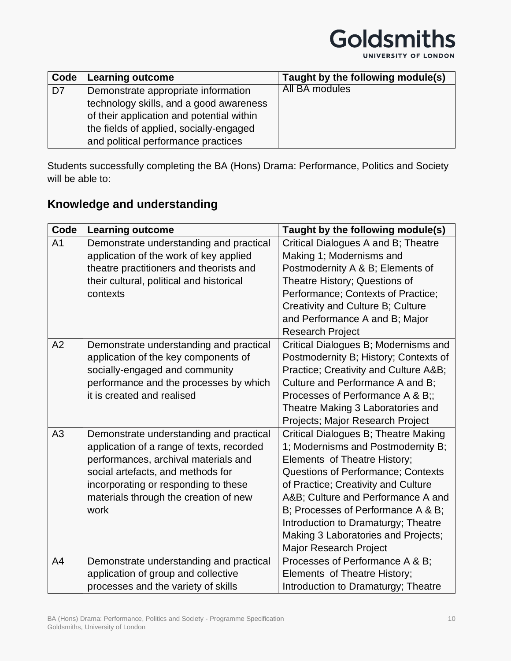

UNIVERSITY OF LONDON

| Code           | <b>Learning outcome</b>                   | Taught by the following module(s) |
|----------------|-------------------------------------------|-----------------------------------|
| D <sub>7</sub> | Demonstrate appropriate information       | All BA modules                    |
|                | technology skills, and a good awareness   |                                   |
|                | of their application and potential within |                                   |
|                | the fields of applied, socially-engaged   |                                   |
|                | and political performance practices       |                                   |

Students successfully completing the BA (Hons) Drama: Performance, Politics and Society will be able to:

### **Knowledge and understanding**

| Code           | <b>Learning outcome</b>                                                                                                                                                                                                                                    | Taught by the following module(s)                                                                                                                                                                                                                                                                                                                                                        |
|----------------|------------------------------------------------------------------------------------------------------------------------------------------------------------------------------------------------------------------------------------------------------------|------------------------------------------------------------------------------------------------------------------------------------------------------------------------------------------------------------------------------------------------------------------------------------------------------------------------------------------------------------------------------------------|
| A <sub>1</sub> | Demonstrate understanding and practical<br>application of the work of key applied<br>theatre practitioners and theorists and<br>their cultural, political and historical<br>contexts                                                                       | Critical Dialogues A and B; Theatre<br>Making 1; Modernisms and<br>Postmodernity A & B; Elements of<br>Theatre History; Questions of<br>Performance; Contexts of Practice;<br>Creativity and Culture B; Culture<br>and Performance A and B; Major<br><b>Research Project</b>                                                                                                             |
| A2             | Demonstrate understanding and practical<br>application of the key components of<br>socially-engaged and community<br>performance and the processes by which<br>it is created and realised                                                                  | Critical Dialogues B; Modernisms and<br>Postmodernity B; History; Contexts of<br>Practice; Creativity and Culture A&B<br>Culture and Performance A and B;<br>Processes of Performance A & B;;<br>Theatre Making 3 Laboratories and<br>Projects; Major Research Project                                                                                                                   |
| A <sub>3</sub> | Demonstrate understanding and practical<br>application of a range of texts, recorded<br>performances, archival materials and<br>social artefacts, and methods for<br>incorporating or responding to these<br>materials through the creation of new<br>work | Critical Dialogues B; Theatre Making<br>1; Modernisms and Postmodernity B;<br>Elements of Theatre History;<br><b>Questions of Performance; Contexts</b><br>of Practice; Creativity and Culture<br>A&B Culture and Performance A and<br>B; Processes of Performance A & B;<br>Introduction to Dramaturgy; Theatre<br>Making 3 Laboratories and Projects;<br><b>Major Research Project</b> |
| A4             | Demonstrate understanding and practical<br>application of group and collective<br>processes and the variety of skills                                                                                                                                      | Processes of Performance A & B;<br>Elements of Theatre History;<br>Introduction to Dramaturgy; Theatre                                                                                                                                                                                                                                                                                   |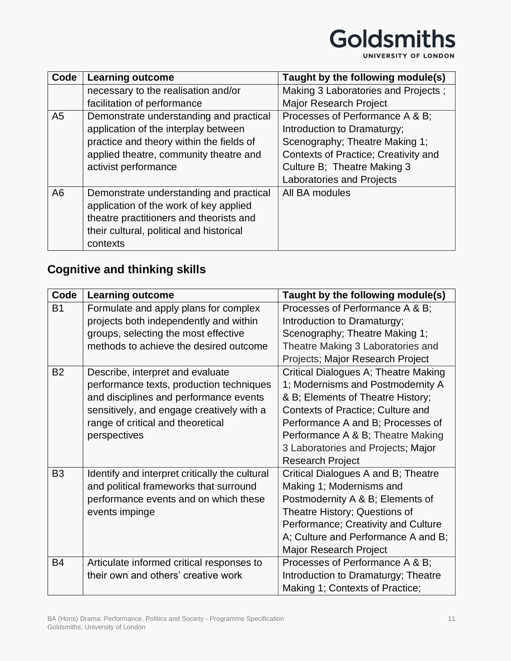

UNIVERSITY OF LONDON

| Code           | <b>Learning outcome</b>                  | Taught by the following module(s)           |
|----------------|------------------------------------------|---------------------------------------------|
|                | necessary to the realisation and/or      | Making 3 Laboratories and Projects;         |
|                | facilitation of performance              | <b>Major Research Project</b>               |
| A <sub>5</sub> | Demonstrate understanding and practical  | Processes of Performance A & B;             |
|                | application of the interplay between     | Introduction to Dramaturgy;                 |
|                | practice and theory within the fields of | Scenography; Theatre Making 1;              |
|                | applied theatre, community theatre and   | <b>Contexts of Practice; Creativity and</b> |
|                | activist performance                     | Culture B; Theatre Making 3                 |
|                |                                          | <b>Laboratories and Projects</b>            |
| A <sub>6</sub> | Demonstrate understanding and practical  | All BA modules                              |
|                | application of the work of key applied   |                                             |
|                | theatre practitioners and theorists and  |                                             |
|                | their cultural, political and historical |                                             |
|                | contexts                                 |                                             |

## **Cognitive and thinking skills**

| Code           | <b>Learning outcome</b>                        | Taught by the following module(s)        |
|----------------|------------------------------------------------|------------------------------------------|
| <b>B1</b>      | Formulate and apply plans for complex          | Processes of Performance A & B;          |
|                | projects both independently and within         | Introduction to Dramaturgy;              |
|                | groups, selecting the most effective           | Scenography; Theatre Making 1;           |
|                | methods to achieve the desired outcome         | Theatre Making 3 Laboratories and        |
|                |                                                | Projects; Major Research Project         |
| <b>B2</b>      | Describe, interpret and evaluate               | Critical Dialogues A; Theatre Making     |
|                | performance texts, production techniques       | 1; Modernisms and Postmodernity A        |
|                | and disciplines and performance events         | & B; Elements of Theatre History;        |
|                | sensitively, and engage creatively with a      | <b>Contexts of Practice; Culture and</b> |
|                | range of critical and theoretical              | Performance A and B; Processes of        |
|                | perspectives                                   | Performance A & B; Theatre Making        |
|                |                                                | 3 Laboratories and Projects; Major       |
|                |                                                | <b>Research Project</b>                  |
| B <sub>3</sub> | Identify and interpret critically the cultural | Critical Dialogues A and B; Theatre      |
|                | and political frameworks that surround         | Making 1; Modernisms and                 |
|                | performance events and on which these          | Postmodernity A & B; Elements of         |
|                | events impinge                                 | Theatre History; Questions of            |
|                |                                                | Performance; Creativity and Culture      |
|                |                                                | A; Culture and Performance A and B;      |
|                |                                                | <b>Major Research Project</b>            |
| <b>B4</b>      | Articulate informed critical responses to      | Processes of Performance A & B;          |
|                | their own and others' creative work            | Introduction to Dramaturgy; Theatre      |
|                |                                                | Making 1; Contexts of Practice;          |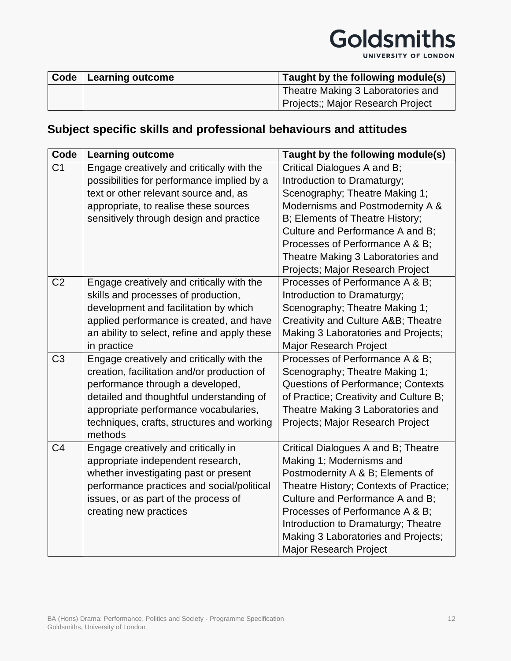# Goldsmiths

UNIVERSITY OF LONDON

| Code   Learning outcome | Taught by the following module(s) |
|-------------------------|-----------------------------------|
|                         | Theatre Making 3 Laboratories and |
|                         | Projects;; Major Research Project |

## **Subject specific skills and professional behaviours and attitudes**

| Code           | <b>Learning outcome</b>                               | Taught by the following module(s)         |
|----------------|-------------------------------------------------------|-------------------------------------------|
| C <sub>1</sub> | Engage creatively and critically with the             | Critical Dialogues A and B;               |
|                | possibilities for performance implied by a            | Introduction to Dramaturgy;               |
|                | text or other relevant source and, as                 | Scenography; Theatre Making 1;            |
|                | appropriate, to realise these sources                 | Modernisms and Postmodernity A &          |
|                | sensitively through design and practice               | B; Elements of Theatre History;           |
|                |                                                       | Culture and Performance A and B;          |
|                |                                                       | Processes of Performance A & B;           |
|                |                                                       | Theatre Making 3 Laboratories and         |
|                |                                                       | Projects; Major Research Project          |
| C <sub>2</sub> | Engage creatively and critically with the             | Processes of Performance A & B;           |
|                | skills and processes of production,                   | Introduction to Dramaturgy;               |
|                | development and facilitation by which                 | Scenography; Theatre Making 1;            |
|                | applied performance is created, and have              | Creativity and Culture A&B Theatre        |
|                | an ability to select, refine and apply these          | Making 3 Laboratories and Projects;       |
|                | in practice                                           | <b>Major Research Project</b>             |
| C <sub>3</sub> | Engage creatively and critically with the             | Processes of Performance A & B;           |
|                | creation, facilitation and/or production of           | Scenography; Theatre Making 1;            |
|                | performance through a developed,                      | <b>Questions of Performance; Contexts</b> |
|                | detailed and thoughtful understanding of              | of Practice; Creativity and Culture B;    |
|                | appropriate performance vocabularies,                 | Theatre Making 3 Laboratories and         |
|                | techniques, crafts, structures and working<br>methods | Projects; Major Research Project          |
| C <sub>4</sub> | Engage creatively and critically in                   | Critical Dialogues A and B; Theatre       |
|                | appropriate independent research,                     | Making 1; Modernisms and                  |
|                | whether investigating past or present                 | Postmodernity A & B; Elements of          |
|                | performance practices and social/political            | Theatre History; Contexts of Practice;    |
|                | issues, or as part of the process of                  | Culture and Performance A and B;          |
|                | creating new practices                                | Processes of Performance A & B;           |
|                |                                                       | Introduction to Dramaturgy; Theatre       |
|                |                                                       | Making 3 Laboratories and Projects;       |
|                |                                                       | <b>Major Research Project</b>             |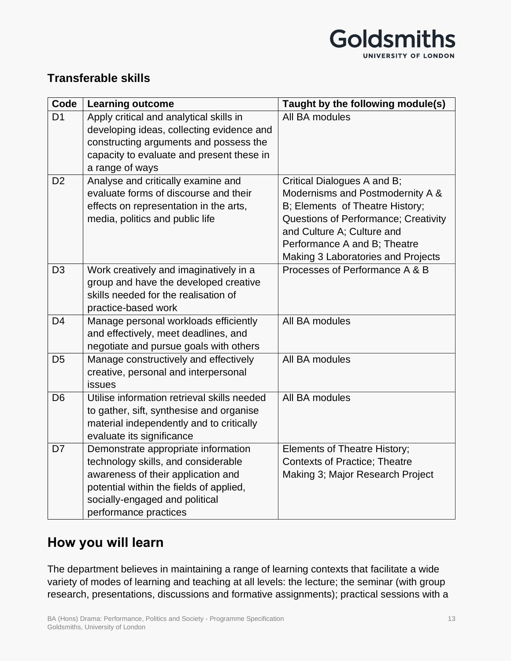

### **Transferable skills**

| Code           | <b>Learning outcome</b>                                                                                                                                                                                                | Taught by the following module(s)                                                                                                                                                                                                              |
|----------------|------------------------------------------------------------------------------------------------------------------------------------------------------------------------------------------------------------------------|------------------------------------------------------------------------------------------------------------------------------------------------------------------------------------------------------------------------------------------------|
| D <sub>1</sub> | Apply critical and analytical skills in<br>developing ideas, collecting evidence and<br>constructing arguments and possess the<br>capacity to evaluate and present these in<br>a range of ways                         | All BA modules                                                                                                                                                                                                                                 |
| D <sub>2</sub> | Analyse and critically examine and<br>evaluate forms of discourse and their<br>effects on representation in the arts,<br>media, politics and public life                                                               | Critical Dialogues A and B;<br>Modernisms and Postmodernity A &<br>B; Elements of Theatre History;<br>Questions of Performance; Creativity<br>and Culture A; Culture and<br>Performance A and B; Theatre<br>Making 3 Laboratories and Projects |
| D <sub>3</sub> | Work creatively and imaginatively in a<br>group and have the developed creative<br>skills needed for the realisation of<br>practice-based work                                                                         | Processes of Performance A & B                                                                                                                                                                                                                 |
| D <sub>4</sub> | Manage personal workloads efficiently<br>and effectively, meet deadlines, and<br>negotiate and pursue goals with others                                                                                                | All BA modules                                                                                                                                                                                                                                 |
| D <sub>5</sub> | Manage constructively and effectively<br>creative, personal and interpersonal<br>issues                                                                                                                                | All BA modules                                                                                                                                                                                                                                 |
| D <sub>6</sub> | Utilise information retrieval skills needed<br>to gather, sift, synthesise and organise<br>material independently and to critically<br>evaluate its significance                                                       | All BA modules                                                                                                                                                                                                                                 |
| D <sub>7</sub> | Demonstrate appropriate information<br>technology skills, and considerable<br>awareness of their application and<br>potential within the fields of applied,<br>socially-engaged and political<br>performance practices | <b>Elements of Theatre History;</b><br><b>Contexts of Practice; Theatre</b><br>Making 3; Major Research Project                                                                                                                                |

### **How you will learn**

The department believes in maintaining a range of learning contexts that facilitate a wide variety of modes of learning and teaching at all levels: the lecture; the seminar (with group research, presentations, discussions and formative assignments); practical sessions with a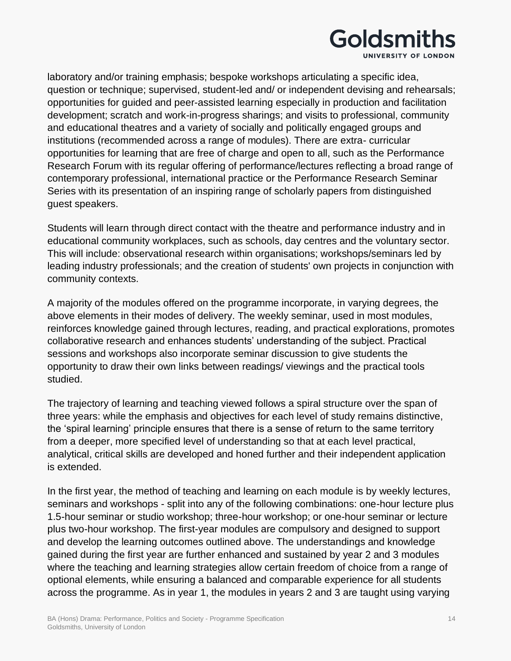

laboratory and/or training emphasis; bespoke workshops articulating a specific idea, question or technique; supervised, student-led and/ or independent devising and rehearsals; opportunities for guided and peer-assisted learning especially in production and facilitation development; scratch and work-in-progress sharings; and visits to professional, community and educational theatres and a variety of socially and politically engaged groups and institutions (recommended across a range of modules). There are extra- curricular opportunities for learning that are free of charge and open to all, such as the Performance Research Forum with its regular offering of performance/lectures reflecting a broad range of contemporary professional, international practice or the Performance Research Seminar Series with its presentation of an inspiring range of scholarly papers from distinguished guest speakers.

Students will learn through direct contact with the theatre and performance industry and in educational community workplaces, such as schools, day centres and the voluntary sector. This will include: observational research within organisations; workshops/seminars led by leading industry professionals; and the creation of students' own projects in conjunction with community contexts.

A majority of the modules offered on the programme incorporate, in varying degrees, the above elements in their modes of delivery. The weekly seminar, used in most modules, reinforces knowledge gained through lectures, reading, and practical explorations, promotes collaborative research and enhances students' understanding of the subject. Practical sessions and workshops also incorporate seminar discussion to give students the opportunity to draw their own links between readings/ viewings and the practical tools studied.

The trajectory of learning and teaching viewed follows a spiral structure over the span of three years: while the emphasis and objectives for each level of study remains distinctive, the 'spiral learning' principle ensures that there is a sense of return to the same territory from a deeper, more specified level of understanding so that at each level practical, analytical, critical skills are developed and honed further and their independent application is extended.

In the first year, the method of teaching and learning on each module is by weekly lectures, seminars and workshops - split into any of the following combinations: one-hour lecture plus 1.5-hour seminar or studio workshop; three-hour workshop; or one-hour seminar or lecture plus two-hour workshop. The first-year modules are compulsory and designed to support and develop the learning outcomes outlined above. The understandings and knowledge gained during the first year are further enhanced and sustained by year 2 and 3 modules where the teaching and learning strategies allow certain freedom of choice from a range of optional elements, while ensuring a balanced and comparable experience for all students across the programme. As in year 1, the modules in years 2 and 3 are taught using varying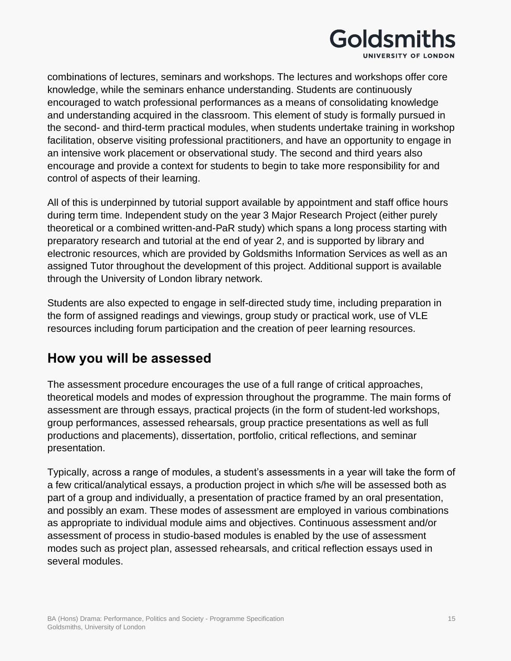

combinations of lectures, seminars and workshops. The lectures and workshops offer core knowledge, while the seminars enhance understanding. Students are continuously encouraged to watch professional performances as a means of consolidating knowledge and understanding acquired in the classroom. This element of study is formally pursued in the second- and third-term practical modules, when students undertake training in workshop facilitation, observe visiting professional practitioners, and have an opportunity to engage in an intensive work placement or observational study. The second and third years also encourage and provide a context for students to begin to take more responsibility for and control of aspects of their learning.

All of this is underpinned by tutorial support available by appointment and staff office hours during term time. Independent study on the year 3 Major Research Project (either purely theoretical or a combined written-and-PaR study) which spans a long process starting with preparatory research and tutorial at the end of year 2, and is supported by library and electronic resources, which are provided by Goldsmiths Information Services as well as an assigned Tutor throughout the development of this project. Additional support is available through the University of London library network.

Students are also expected to engage in self-directed study time, including preparation in the form of assigned readings and viewings, group study or practical work, use of VLE resources including forum participation and the creation of peer learning resources.

## **How you will be assessed**

The assessment procedure encourages the use of a full range of critical approaches, theoretical models and modes of expression throughout the programme. The main forms of assessment are through essays, practical projects (in the form of student-led workshops, group performances, assessed rehearsals, group practice presentations as well as full productions and placements), dissertation, portfolio, critical reflections, and seminar presentation.

Typically, across a range of modules, a student's assessments in a year will take the form of a few critical/analytical essays, a production project in which s/he will be assessed both as part of a group and individually, a presentation of practice framed by an oral presentation, and possibly an exam. These modes of assessment are employed in various combinations as appropriate to individual module aims and objectives. Continuous assessment and/or assessment of process in studio-based modules is enabled by the use of assessment modes such as project plan, assessed rehearsals, and critical reflection essays used in several modules.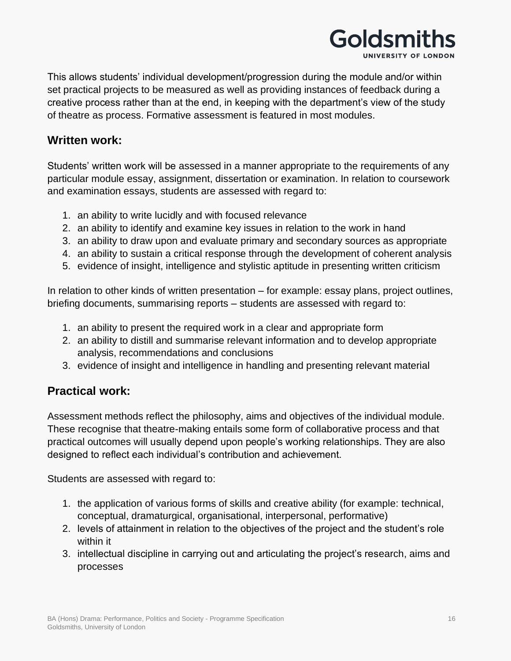

This allows students' individual development/progression during the module and/or within set practical projects to be measured as well as providing instances of feedback during a creative process rather than at the end, in keeping with the department's view of the study of theatre as process. Formative assessment is featured in most modules.

### **Written work:**

Students' written work will be assessed in a manner appropriate to the requirements of any particular module essay, assignment, dissertation or examination. In relation to coursework and examination essays, students are assessed with regard to:

- 1. an ability to write lucidly and with focused relevance
- 2. an ability to identify and examine key issues in relation to the work in hand
- 3. an ability to draw upon and evaluate primary and secondary sources as appropriate
- 4. an ability to sustain a critical response through the development of coherent analysis
- 5. evidence of insight, intelligence and stylistic aptitude in presenting written criticism

In relation to other kinds of written presentation – for example: essay plans, project outlines, briefing documents, summarising reports – students are assessed with regard to:

- 1. an ability to present the required work in a clear and appropriate form
- 2. an ability to distill and summarise relevant information and to develop appropriate analysis, recommendations and conclusions
- 3. evidence of insight and intelligence in handling and presenting relevant material

### **Practical work:**

Assessment methods reflect the philosophy, aims and objectives of the individual module. These recognise that theatre-making entails some form of collaborative process and that practical outcomes will usually depend upon people's working relationships. They are also designed to reflect each individual's contribution and achievement.

Students are assessed with regard to:

- 1. the application of various forms of skills and creative ability (for example: technical, conceptual, dramaturgical, organisational, interpersonal, performative)
- 2. levels of attainment in relation to the objectives of the project and the student's role within it
- 3. intellectual discipline in carrying out and articulating the project's research, aims and processes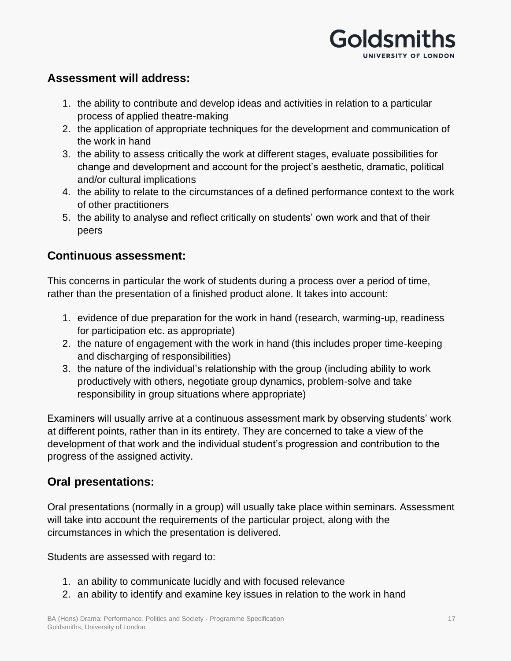

### **Assessment will address:**

- 1. the ability to contribute and develop ideas and activities in relation to a particular process of applied theatre-making
- 2. the application of appropriate techniques for the development and communication of the work in hand
- 3. the ability to assess critically the work at different stages, evaluate possibilities for change and development and account for the project's aesthetic, dramatic, political and/or cultural implications
- 4. the ability to relate to the circumstances of a defined performance context to the work of other practitioners
- 5. the ability to analyse and reflect critically on students' own work and that of their peers

### **Continuous assessment:**

This concerns in particular the work of students during a process over a period of time, rather than the presentation of a finished product alone. It takes into account:

- 1. evidence of due preparation for the work in hand (research, warming-up, readiness for participation etc. as appropriate)
- 2. the nature of engagement with the work in hand (this includes proper time-keeping and discharging of responsibilities)
- 3. the nature of the individual's relationship with the group (including ability to work productively with others, negotiate group dynamics, problem-solve and take responsibility in group situations where appropriate)

Examiners will usually arrive at a continuous assessment mark by observing students' work at different points, rather than in its entirety. They are concerned to take a view of the development of that work and the individual student's progression and contribution to the progress of the assigned activity.

### **Oral presentations:**

Oral presentations (normally in a group) will usually take place within seminars. Assessment will take into account the requirements of the particular project, along with the circumstances in which the presentation is delivered.

Students are assessed with regard to:

- 1. an ability to communicate lucidly and with focused relevance
- 2. an ability to identify and examine key issues in relation to the work in hand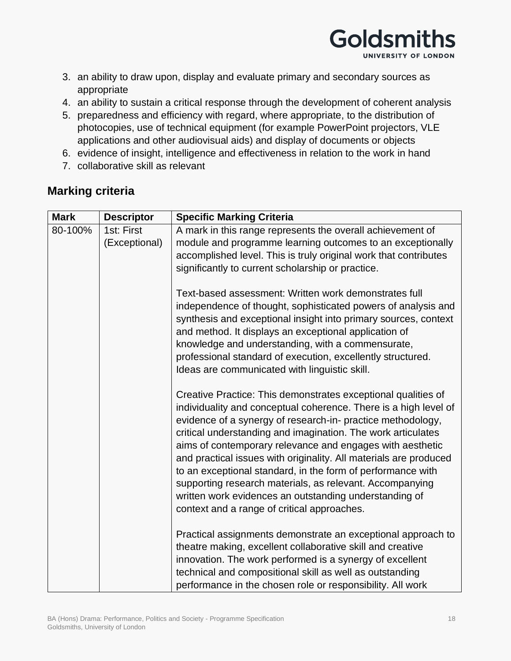

- 3. an ability to draw upon, display and evaluate primary and secondary sources as appropriate
- 4. an ability to sustain a critical response through the development of coherent analysis
- 5. preparedness and efficiency with regard, where appropriate, to the distribution of photocopies, use of technical equipment (for example PowerPoint projectors, VLE applications and other audiovisual aids) and display of documents or objects
- 6. evidence of insight, intelligence and effectiveness in relation to the work in hand
- 7. collaborative skill as relevant

### **Marking criteria**

| <b>Mark</b> | <b>Descriptor</b> | <b>Specific Marking Criteria</b>                                                                                                                                                                                                                                                                                                                                                                                                                                                                                                                                                                                                       |
|-------------|-------------------|----------------------------------------------------------------------------------------------------------------------------------------------------------------------------------------------------------------------------------------------------------------------------------------------------------------------------------------------------------------------------------------------------------------------------------------------------------------------------------------------------------------------------------------------------------------------------------------------------------------------------------------|
| 80-100%     | 1st: First        | A mark in this range represents the overall achievement of                                                                                                                                                                                                                                                                                                                                                                                                                                                                                                                                                                             |
|             | (Exceptional)     | module and programme learning outcomes to an exceptionally                                                                                                                                                                                                                                                                                                                                                                                                                                                                                                                                                                             |
|             |                   | accomplished level. This is truly original work that contributes                                                                                                                                                                                                                                                                                                                                                                                                                                                                                                                                                                       |
|             |                   | significantly to current scholarship or practice.                                                                                                                                                                                                                                                                                                                                                                                                                                                                                                                                                                                      |
|             |                   | Text-based assessment: Written work demonstrates full<br>independence of thought, sophisticated powers of analysis and<br>synthesis and exceptional insight into primary sources, context<br>and method. It displays an exceptional application of<br>knowledge and understanding, with a commensurate,                                                                                                                                                                                                                                                                                                                                |
|             |                   | professional standard of execution, excellently structured.                                                                                                                                                                                                                                                                                                                                                                                                                                                                                                                                                                            |
|             |                   | Ideas are communicated with linguistic skill.                                                                                                                                                                                                                                                                                                                                                                                                                                                                                                                                                                                          |
|             |                   | Creative Practice: This demonstrates exceptional qualities of<br>individuality and conceptual coherence. There is a high level of<br>evidence of a synergy of research-in- practice methodology,<br>critical understanding and imagination. The work articulates<br>aims of contemporary relevance and engages with aesthetic<br>and practical issues with originality. All materials are produced<br>to an exceptional standard, in the form of performance with<br>supporting research materials, as relevant. Accompanying<br>written work evidences an outstanding understanding of<br>context and a range of critical approaches. |
|             |                   | Practical assignments demonstrate an exceptional approach to<br>theatre making, excellent collaborative skill and creative<br>innovation. The work performed is a synergy of excellent<br>technical and compositional skill as well as outstanding<br>performance in the chosen role or responsibility. All work                                                                                                                                                                                                                                                                                                                       |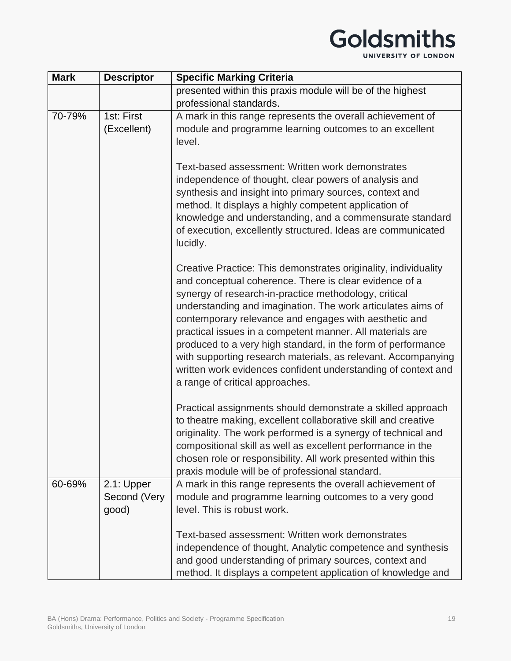# Goldsmiths

| <b>Mark</b> | <b>Descriptor</b>                   | <b>Specific Marking Criteria</b>                                                                                                                                                                                                                                                                                                                                                                                                                                                                                                          |  |
|-------------|-------------------------------------|-------------------------------------------------------------------------------------------------------------------------------------------------------------------------------------------------------------------------------------------------------------------------------------------------------------------------------------------------------------------------------------------------------------------------------------------------------------------------------------------------------------------------------------------|--|
|             |                                     | presented within this praxis module will be of the highest                                                                                                                                                                                                                                                                                                                                                                                                                                                                                |  |
|             |                                     | professional standards.                                                                                                                                                                                                                                                                                                                                                                                                                                                                                                                   |  |
| 70-79%      | 1st: First<br>(Excellent)           | A mark in this range represents the overall achievement of<br>module and programme learning outcomes to an excellent<br>level.<br>Text-based assessment: Written work demonstrates<br>independence of thought, clear powers of analysis and<br>synthesis and insight into primary sources, context and<br>method. It displays a highly competent application of<br>knowledge and understanding, and a commensurate standard                                                                                                               |  |
|             |                                     | of execution, excellently structured. Ideas are communicated<br>lucidly.<br>Creative Practice: This demonstrates originality, individuality                                                                                                                                                                                                                                                                                                                                                                                               |  |
|             |                                     | and conceptual coherence. There is clear evidence of a<br>synergy of research-in-practice methodology, critical<br>understanding and imagination. The work articulates aims of<br>contemporary relevance and engages with aesthetic and<br>practical issues in a competent manner. All materials are<br>produced to a very high standard, in the form of performance<br>with supporting research materials, as relevant. Accompanying<br>written work evidences confident understanding of context and<br>a range of critical approaches. |  |
|             |                                     | Practical assignments should demonstrate a skilled approach<br>to theatre making, excellent collaborative skill and creative<br>originality. The work performed is a synergy of technical and<br>compositional skill as well as excellent performance in the<br>chosen role or responsibility. All work presented within this<br>praxis module will be of professional standard.                                                                                                                                                          |  |
| 60-69%      | 2.1: Upper<br>Second (Very<br>good) | A mark in this range represents the overall achievement of<br>module and programme learning outcomes to a very good<br>level. This is robust work.                                                                                                                                                                                                                                                                                                                                                                                        |  |
|             |                                     | Text-based assessment: Written work demonstrates<br>independence of thought, Analytic competence and synthesis<br>and good understanding of primary sources, context and<br>method. It displays a competent application of knowledge and                                                                                                                                                                                                                                                                                                  |  |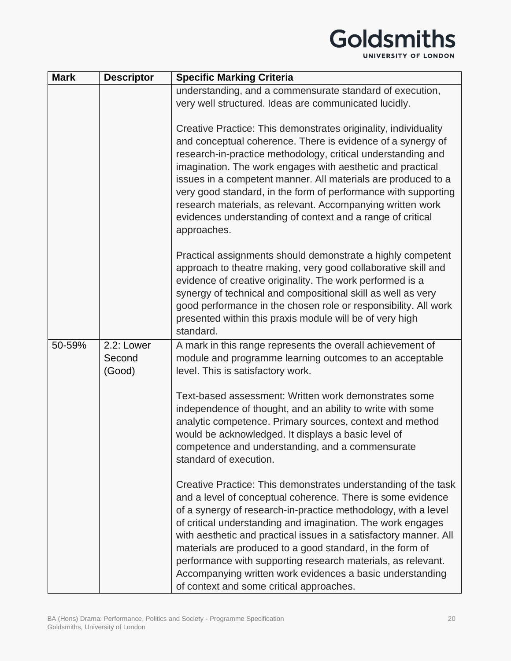# Goldsmiths

| <b>Mark</b> | <b>Descriptor</b>              | <b>Specific Marking Criteria</b>                                                                                                                                                                                                                                                                                                                                                                                                                                                                                                                                          |
|-------------|--------------------------------|---------------------------------------------------------------------------------------------------------------------------------------------------------------------------------------------------------------------------------------------------------------------------------------------------------------------------------------------------------------------------------------------------------------------------------------------------------------------------------------------------------------------------------------------------------------------------|
|             |                                | understanding, and a commensurate standard of execution,                                                                                                                                                                                                                                                                                                                                                                                                                                                                                                                  |
|             |                                | very well structured. Ideas are communicated lucidly.                                                                                                                                                                                                                                                                                                                                                                                                                                                                                                                     |
|             |                                | Creative Practice: This demonstrates originality, individuality<br>and conceptual coherence. There is evidence of a synergy of<br>research-in-practice methodology, critical understanding and<br>imagination. The work engages with aesthetic and practical<br>issues in a competent manner. All materials are produced to a<br>very good standard, in the form of performance with supporting<br>research materials, as relevant. Accompanying written work<br>evidences understanding of context and a range of critical<br>approaches.                                |
|             |                                | Practical assignments should demonstrate a highly competent<br>approach to theatre making, very good collaborative skill and<br>evidence of creative originality. The work performed is a<br>synergy of technical and compositional skill as well as very<br>good performance in the chosen role or responsibility. All work<br>presented within this praxis module will be of very high<br>standard.                                                                                                                                                                     |
| 50-59%      | 2.2: Lower<br>Second<br>(Good) | A mark in this range represents the overall achievement of<br>module and programme learning outcomes to an acceptable<br>level. This is satisfactory work.                                                                                                                                                                                                                                                                                                                                                                                                                |
|             |                                | Text-based assessment: Written work demonstrates some<br>independence of thought, and an ability to write with some<br>analytic competence. Primary sources, context and method<br>would be acknowledged. It displays a basic level of<br>competence and understanding, and a commensurate<br>standard of execution.                                                                                                                                                                                                                                                      |
|             |                                | Creative Practice: This demonstrates understanding of the task<br>and a level of conceptual coherence. There is some evidence<br>of a synergy of research-in-practice methodology, with a level<br>of critical understanding and imagination. The work engages<br>with aesthetic and practical issues in a satisfactory manner. All<br>materials are produced to a good standard, in the form of<br>performance with supporting research materials, as relevant.<br>Accompanying written work evidences a basic understanding<br>of context and some critical approaches. |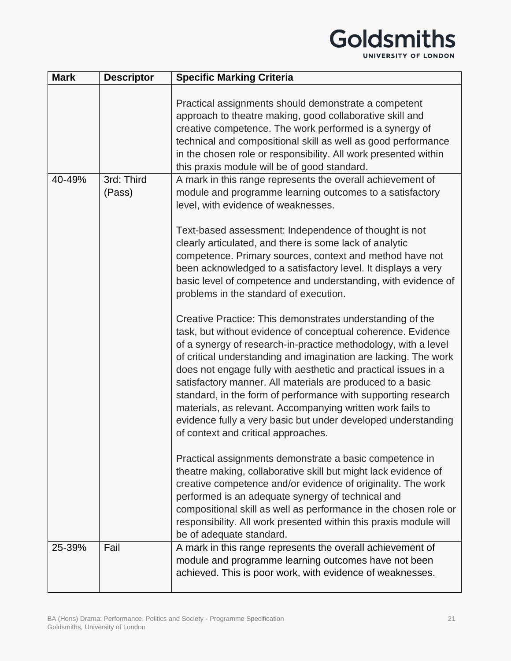## Goldsmiths UNIVERSITY OF LONDON

| <b>Mark</b> | <b>Descriptor</b>    | <b>Specific Marking Criteria</b>                                                                                                                                                                                                                                                                                                                                                                                                                                                                                                                                                                                                      |
|-------------|----------------------|---------------------------------------------------------------------------------------------------------------------------------------------------------------------------------------------------------------------------------------------------------------------------------------------------------------------------------------------------------------------------------------------------------------------------------------------------------------------------------------------------------------------------------------------------------------------------------------------------------------------------------------|
|             |                      | Practical assignments should demonstrate a competent<br>approach to theatre making, good collaborative skill and<br>creative competence. The work performed is a synergy of<br>technical and compositional skill as well as good performance<br>in the chosen role or responsibility. All work presented within<br>this praxis module will be of good standard.                                                                                                                                                                                                                                                                       |
| 40-49%      | 3rd: Third<br>(Pass) | A mark in this range represents the overall achievement of<br>module and programme learning outcomes to a satisfactory<br>level, with evidence of weaknesses.                                                                                                                                                                                                                                                                                                                                                                                                                                                                         |
|             |                      | Text-based assessment: Independence of thought is not<br>clearly articulated, and there is some lack of analytic<br>competence. Primary sources, context and method have not<br>been acknowledged to a satisfactory level. It displays a very<br>basic level of competence and understanding, with evidence of<br>problems in the standard of execution.                                                                                                                                                                                                                                                                              |
|             |                      | Creative Practice: This demonstrates understanding of the<br>task, but without evidence of conceptual coherence. Evidence<br>of a synergy of research-in-practice methodology, with a level<br>of critical understanding and imagination are lacking. The work<br>does not engage fully with aesthetic and practical issues in a<br>satisfactory manner. All materials are produced to a basic<br>standard, in the form of performance with supporting research<br>materials, as relevant. Accompanying written work fails to<br>evidence fully a very basic but under developed understanding<br>of context and critical approaches. |
|             |                      | Practical assignments demonstrate a basic competence in<br>theatre making, collaborative skill but might lack evidence of<br>creative competence and/or evidence of originality. The work<br>performed is an adequate synergy of technical and<br>compositional skill as well as performance in the chosen role or<br>responsibility. All work presented within this praxis module will<br>be of adequate standard.                                                                                                                                                                                                                   |
| 25-39%      | Fail                 | A mark in this range represents the overall achievement of<br>module and programme learning outcomes have not been<br>achieved. This is poor work, with evidence of weaknesses.                                                                                                                                                                                                                                                                                                                                                                                                                                                       |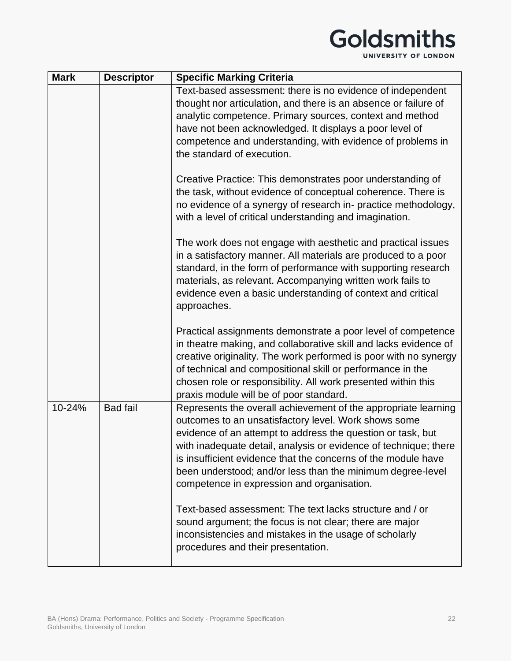## Goldsmiths

UNIVERSITY OF LONDON

| <b>Mark</b> | <b>Descriptor</b> | <b>Specific Marking Criteria</b>                                                                                                                                                                                                                                                                                                                                                                                                       |
|-------------|-------------------|----------------------------------------------------------------------------------------------------------------------------------------------------------------------------------------------------------------------------------------------------------------------------------------------------------------------------------------------------------------------------------------------------------------------------------------|
|             |                   | Text-based assessment: there is no evidence of independent<br>thought nor articulation, and there is an absence or failure of<br>analytic competence. Primary sources, context and method<br>have not been acknowledged. It displays a poor level of<br>competence and understanding, with evidence of problems in<br>the standard of execution.                                                                                       |
|             |                   | Creative Practice: This demonstrates poor understanding of<br>the task, without evidence of conceptual coherence. There is<br>no evidence of a synergy of research in- practice methodology,<br>with a level of critical understanding and imagination.                                                                                                                                                                                |
|             |                   | The work does not engage with aesthetic and practical issues<br>in a satisfactory manner. All materials are produced to a poor<br>standard, in the form of performance with supporting research<br>materials, as relevant. Accompanying written work fails to<br>evidence even a basic understanding of context and critical<br>approaches.                                                                                            |
|             |                   | Practical assignments demonstrate a poor level of competence<br>in theatre making, and collaborative skill and lacks evidence of<br>creative originality. The work performed is poor with no synergy<br>of technical and compositional skill or performance in the<br>chosen role or responsibility. All work presented within this<br>praxis module will be of poor standard.                                                         |
| 10-24%      | <b>Bad fail</b>   | Represents the overall achievement of the appropriate learning<br>outcomes to an unsatisfactory level. Work shows some<br>evidence of an attempt to address the question or task, but<br>with inadequate detail, analysis or evidence of technique; there<br>is insufficient evidence that the concerns of the module have<br>been understood; and/or less than the minimum degree-level<br>competence in expression and organisation. |
|             |                   | Text-based assessment: The text lacks structure and / or<br>sound argument; the focus is not clear; there are major<br>inconsistencies and mistakes in the usage of scholarly<br>procedures and their presentation.                                                                                                                                                                                                                    |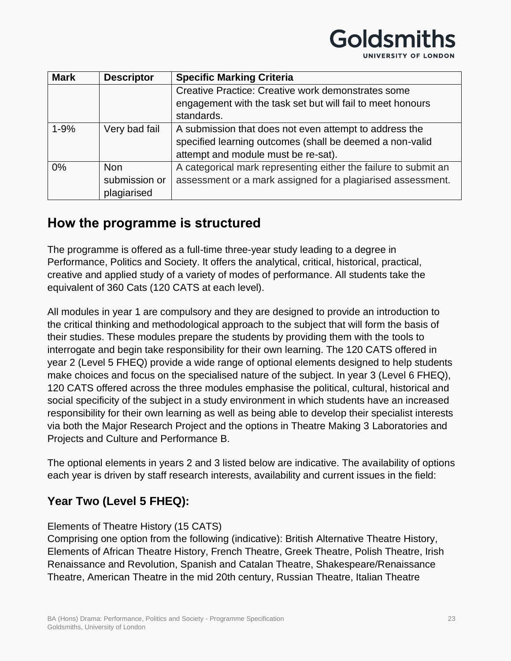#### **Mark Descriptor Specific Marking Criteria** Creative Practice: Creative work demonstrates some engagement with the task set but will fail to meet honours standards. 1-9%  $\blacksquare$  Very bad fail  $\blacksquare$  A submission that does not even attempt to address the specified learning outcomes (shall be deemed a non-valid attempt and module must be re-sat). 0% Non submission or plagiarised A categorical mark representing either the failure to submit an assessment or a mark assigned for a plagiarised assessment.

Goldsmitl

UNIVERSITY OF LONDON

## **How the programme is structured**

The programme is offered as a full-time three-year study leading to a degree in Performance, Politics and Society. It offers the analytical, critical, historical, practical, creative and applied study of a variety of modes of performance. All students take the equivalent of 360 Cats (120 CATS at each level).

All modules in year 1 are compulsory and they are designed to provide an introduction to the critical thinking and methodological approach to the subject that will form the basis of their studies. These modules prepare the students by providing them with the tools to interrogate and begin take responsibility for their own learning. The 120 CATS offered in year 2 (Level 5 FHEQ) provide a wide range of optional elements designed to help students make choices and focus on the specialised nature of the subject. In year 3 (Level 6 FHEQ), 120 CATS offered across the three modules emphasise the political, cultural, historical and social specificity of the subject in a study environment in which students have an increased responsibility for their own learning as well as being able to develop their specialist interests via both the Major Research Project and the options in Theatre Making 3 Laboratories and Projects and Culture and Performance B.

The optional elements in years 2 and 3 listed below are indicative. The availability of options each year is driven by staff research interests, availability and current issues in the field:

### **Year Two (Level 5 FHEQ):**

### Elements of Theatre History (15 CATS)

Comprising one option from the following (indicative): British Alternative Theatre History, Elements of African Theatre History, French Theatre, Greek Theatre, Polish Theatre, Irish Renaissance and Revolution, Spanish and Catalan Theatre, Shakespeare/Renaissance Theatre, American Theatre in the mid 20th century, Russian Theatre, Italian Theatre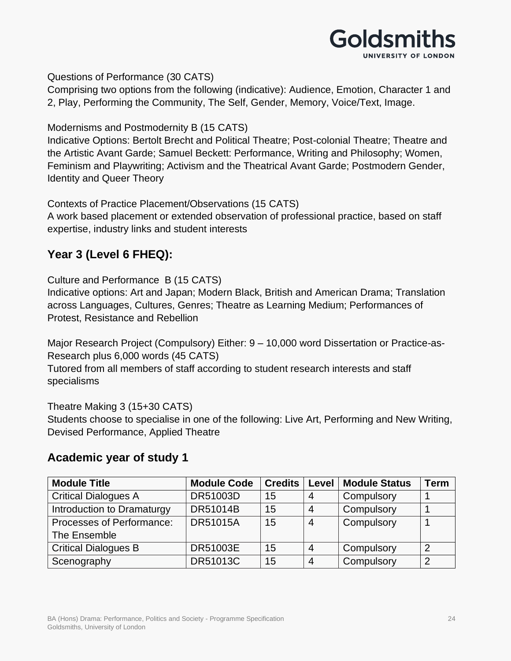

Questions of Performance (30 CATS)

Comprising two options from the following (indicative): Audience, Emotion, Character 1 and 2, Play, Performing the Community, The Self, Gender, Memory, Voice/Text, Image.

Modernisms and Postmodernity B (15 CATS)

Indicative Options: Bertolt Brecht and Political Theatre; Post-colonial Theatre; Theatre and the Artistic Avant Garde; Samuel Beckett: Performance, Writing and Philosophy; Women, Feminism and Playwriting; Activism and the Theatrical Avant Garde; Postmodern Gender, Identity and Queer Theory

Contexts of Practice Placement/Observations (15 CATS)

A work based placement or extended observation of professional practice, based on staff expertise, industry links and student interests

### **Year 3 (Level 6 FHEQ):**

Culture and Performance B (15 CATS)

Indicative options: Art and Japan; Modern Black, British and American Drama; Translation across Languages, Cultures, Genres; Theatre as Learning Medium; Performances of Protest, Resistance and Rebellion

Major Research Project (Compulsory) Either: 9 – 10,000 word Dissertation or Practice-as-Research plus 6,000 words (45 CATS)

Tutored from all members of staff according to student research interests and staff specialisms

Theatre Making 3 (15+30 CATS) Students choose to specialise in one of the following: Live Art, Performing and New Writing, Devised Performance, Applied Theatre

### **Academic year of study 1**

| <b>Module Title</b>         | <b>Module Code</b> | <b>Credits</b> | Level          | <b>Module Status</b> | Term |
|-----------------------------|--------------------|----------------|----------------|----------------------|------|
| <b>Critical Dialogues A</b> | DR51003D           | 15             | 4              | Compulsory           |      |
| Introduction to Dramaturgy  | DR51014B           | 15             | $\overline{4}$ | Compulsory           |      |
| Processes of Performance:   | <b>DR51015A</b>    | 15             | $\overline{4}$ | Compulsory           |      |
| The Ensemble                |                    |                |                |                      |      |
| <b>Critical Dialogues B</b> | <b>DR51003E</b>    | 15             | 4              | Compulsory           | 2    |
| Scenography                 | <b>DR51013C</b>    | 15             | $\overline{4}$ | Compulsory           | っ    |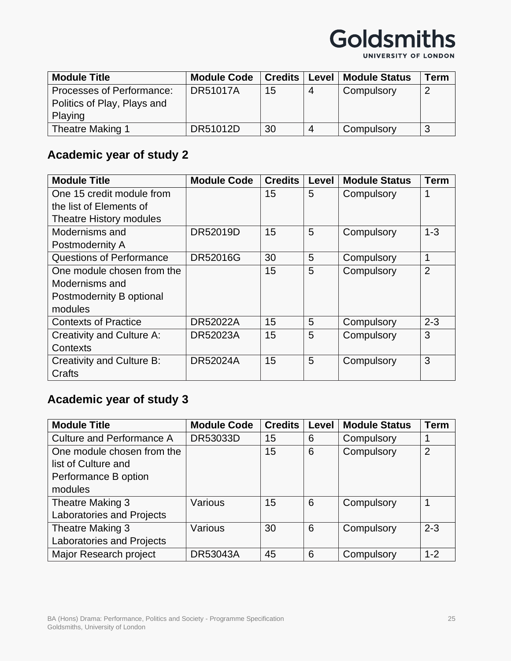

UNIVERSITY OF LONDON

| <b>Module Title</b>         | <b>Module Code</b> | <b>Credits</b> |    | Level   Module Status | Term           |
|-----------------------------|--------------------|----------------|----|-----------------------|----------------|
| Processes of Performance:   | <b>DR51017A</b>    | 15             | -4 | Compulsory            | $\overline{2}$ |
| Politics of Play, Plays and |                    |                |    |                       |                |
| Playing                     |                    |                |    |                       |                |
| Theatre Making 1            | DR51012D           | 30             | -4 | Compulsory            | -3             |

## **Academic year of study 2**

| <b>Module Title</b>             | <b>Module Code</b> | <b>Credits</b> | Level | <b>Module Status</b> | <b>Term</b>    |
|---------------------------------|--------------------|----------------|-------|----------------------|----------------|
| One 15 credit module from       |                    | 15             | 5     | Compulsory           |                |
| the list of Elements of         |                    |                |       |                      |                |
| Theatre History modules         |                    |                |       |                      |                |
| Modernisms and                  | <b>DR52019D</b>    | 15             | 5     | Compulsory           | $1 - 3$        |
| Postmodernity A                 |                    |                |       |                      |                |
| <b>Questions of Performance</b> | <b>DR52016G</b>    | 30             | 5     | Compulsory           | 1              |
| One module chosen from the      |                    | 15             | 5     | Compulsory           | $\overline{2}$ |
| Modernisms and                  |                    |                |       |                      |                |
| Postmodernity B optional        |                    |                |       |                      |                |
| modules                         |                    |                |       |                      |                |
| <b>Contexts of Practice</b>     | <b>DR52022A</b>    | 15             | 5     | Compulsory           | $2 - 3$        |
| Creativity and Culture A:       | <b>DR52023A</b>    | 15             | 5     | Compulsory           | 3              |
| Contexts                        |                    |                |       |                      |                |
| Creativity and Culture B:       | <b>DR52024A</b>    | 15             | 5     | Compulsory           | 3              |
| Crafts                          |                    |                |       |                      |                |

## **Academic year of study 3**

| <b>Module Title</b>              | <b>Module Code</b> | <b>Credits</b> | Level | <b>Module Status</b> | <b>Term</b>    |
|----------------------------------|--------------------|----------------|-------|----------------------|----------------|
| <b>Culture and Performance A</b> | DR53033D           | 15             | 6     | Compulsory           |                |
| One module chosen from the       |                    | 15             | 6     | Compulsory           | $\overline{2}$ |
| list of Culture and              |                    |                |       |                      |                |
| Performance B option             |                    |                |       |                      |                |
| modules                          |                    |                |       |                      |                |
| Theatre Making 3                 | Various            | 15             | 6     | Compulsory           |                |
| Laboratories and Projects        |                    |                |       |                      |                |
| Theatre Making 3                 | Various            | 30             | 6     | Compulsory           | $2 - 3$        |
| <b>Laboratories and Projects</b> |                    |                |       |                      |                |
| Major Research project           | <b>DR53043A</b>    | 45             | 6     | Compulsory           | $1 - 2$        |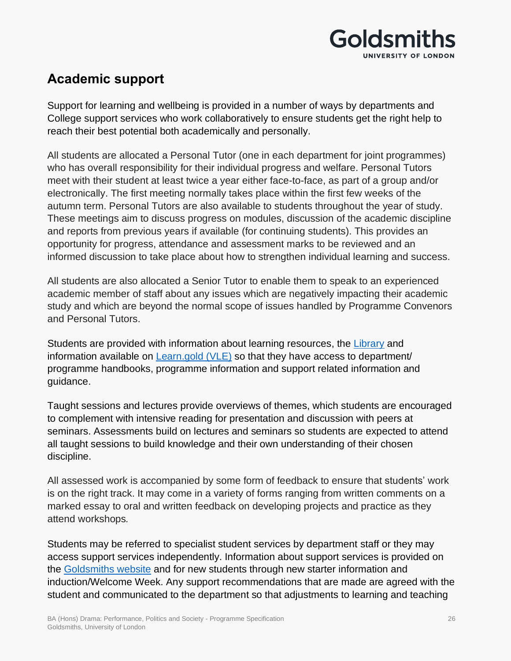

## **Academic support**

Support for learning and wellbeing is provided in a number of ways by departments and College support services who work collaboratively to ensure students get the right help to reach their best potential both academically and personally.

All students are allocated a Personal Tutor (one in each department for joint programmes) who has overall responsibility for their individual progress and welfare. Personal Tutors meet with their student at least twice a year either face-to-face, as part of a group and/or electronically. The first meeting normally takes place within the first few weeks of the autumn term. Personal Tutors are also available to students throughout the year of study. These meetings aim to discuss progress on modules, discussion of the academic discipline and reports from previous years if available (for continuing students). This provides an opportunity for progress, attendance and assessment marks to be reviewed and an informed discussion to take place about how to strengthen individual learning and success.

All students are also allocated a Senior Tutor to enable them to speak to an experienced academic member of staff about any issues which are negatively impacting their academic study and which are beyond the normal scope of issues handled by Programme Convenors and Personal Tutors.

Students are provided with information about learning resources, the [Library](https://www.gold.ac.uk/library/) and information available on **Learn.gold (VLE)** so that they have access to department/ programme handbooks, programme information and support related information and guidance.

Taught sessions and lectures provide overviews of themes, which students are encouraged to complement with intensive reading for presentation and discussion with peers at seminars. Assessments build on lectures and seminars so students are expected to attend all taught sessions to build knowledge and their own understanding of their chosen discipline.

All assessed work is accompanied by some form of feedback to ensure that students' work is on the right track. It may come in a variety of forms ranging from written comments on a marked essay to oral and written feedback on developing projects and practice as they attend workshops*.*

Students may be referred to specialist student services by department staff or they may access support services independently. Information about support services is provided on the [Goldsmiths website](https://www.gold.ac.uk/students/) and for new students through new starter information and induction/Welcome Week. Any support recommendations that are made are agreed with the student and communicated to the department so that adjustments to learning and teaching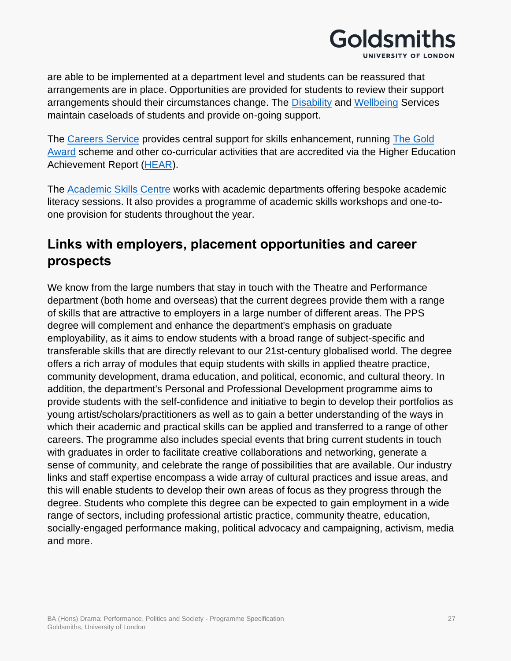

are able to be implemented at a department level and students can be reassured that arrangements are in place. Opportunities are provided for students to review their support arrangements should their circumstances change. The [Disability](https://www.gold.ac.uk/students/disability-support/) and [Wellbeing](https://www.gold.ac.uk/students/wellbeing/) Services maintain caseloads of students and provide on-going support.

The [Careers Service](https://www.gold.ac.uk/careers/) provides central support for skills enhancement, running [The Gold](https://www.gold.ac.uk/students/gold-award/)  [Award](https://www.gold.ac.uk/students/gold-award/) scheme and other co-curricular activities that are accredited via the Higher Education Achievement Report [\(HEAR\)](https://www.gold.ac.uk/hear/).

The [Academic Skills Centre](https://www.gold.ac.uk/asc/) works with academic departments offering bespoke academic literacy sessions. It also provides a programme of academic skills workshops and one-toone provision for students throughout the year.

## **Links with employers, placement opportunities and career prospects**

We know from the large numbers that stay in touch with the Theatre and Performance department (both home and overseas) that the current degrees provide them with a range of skills that are attractive to employers in a large number of different areas. The PPS degree will complement and enhance the department's emphasis on graduate employability, as it aims to endow students with a broad range of subject-specific and transferable skills that are directly relevant to our 21st-century globalised world. The degree offers a rich array of modules that equip students with skills in applied theatre practice, community development, drama education, and political, economic, and cultural theory. In addition, the department's Personal and Professional Development programme aims to provide students with the self-confidence and initiative to begin to develop their portfolios as young artist/scholars/practitioners as well as to gain a better understanding of the ways in which their academic and practical skills can be applied and transferred to a range of other careers. The programme also includes special events that bring current students in touch with graduates in order to facilitate creative collaborations and networking, generate a sense of community, and celebrate the range of possibilities that are available. Our industry links and staff expertise encompass a wide array of cultural practices and issue areas, and this will enable students to develop their own areas of focus as they progress through the degree. Students who complete this degree can be expected to gain employment in a wide range of sectors, including professional artistic practice, community theatre, education, socially-engaged performance making, political advocacy and campaigning, activism, media and more.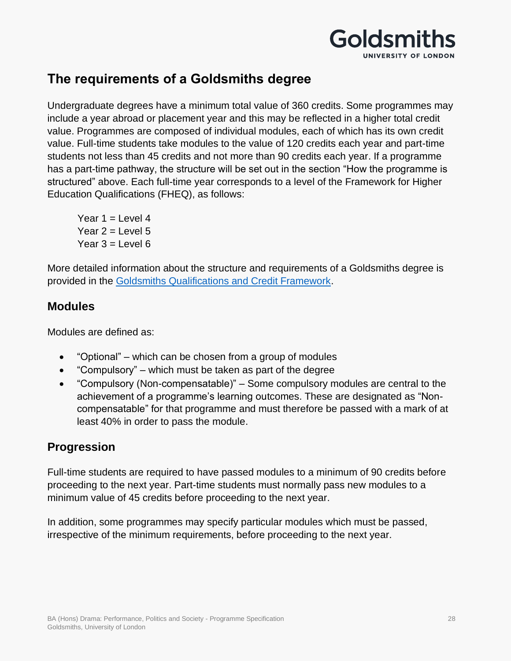

## **The requirements of a Goldsmiths degree**

Undergraduate degrees have a minimum total value of 360 credits. Some programmes may include a year abroad or placement year and this may be reflected in a higher total credit value. Programmes are composed of individual modules, each of which has its own credit value. Full-time students take modules to the value of 120 credits each year and part-time students not less than 45 credits and not more than 90 credits each year. If a programme has a part-time pathway, the structure will be set out in the section "How the programme is structured" above. Each full-time year corresponds to a level of the Framework for Higher Education Qualifications (FHEQ), as follows:

Year  $1 =$  Level 4 Year  $2 =$  Level 5 Year  $3 =$  Level 6

More detailed information about the structure and requirements of a Goldsmiths degree is provided in the [Goldsmiths Qualifications and Credit Framework.](https://www.gold.ac.uk/media/docs/gam/Qualifications-and-Credit-Framework.pdf)

### **Modules**

Modules are defined as:

- "Optional" which can be chosen from a group of modules
- "Compulsory" which must be taken as part of the degree
- "Compulsory (Non-compensatable)" Some compulsory modules are central to the achievement of a programme's learning outcomes. These are designated as "Noncompensatable" for that programme and must therefore be passed with a mark of at least 40% in order to pass the module.

### **Progression**

Full-time students are required to have passed modules to a minimum of 90 credits before proceeding to the next year. Part-time students must normally pass new modules to a minimum value of 45 credits before proceeding to the next year.

In addition, some programmes may specify particular modules which must be passed, irrespective of the minimum requirements, before proceeding to the next year.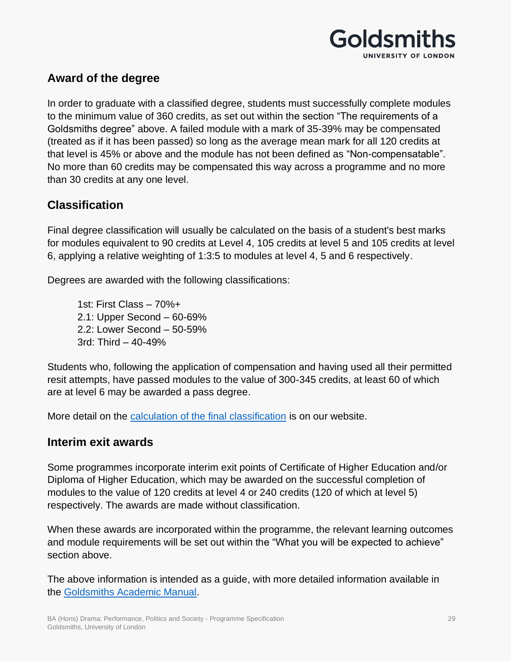

### **Award of the degree**

In order to graduate with a classified degree, students must successfully complete modules to the minimum value of 360 credits, as set out within the section "The requirements of a Goldsmiths degree" above. A failed module with a mark of 35-39% may be compensated (treated as if it has been passed) so long as the average mean mark for all 120 credits at that level is 45% or above and the module has not been defined as "Non-compensatable". No more than 60 credits may be compensated this way across a programme and no more than 30 credits at any one level.

### **Classification**

Final degree classification will usually be calculated on the basis of a student's best marks for modules equivalent to 90 credits at Level 4, 105 credits at level 5 and 105 credits at level 6, applying a relative weighting of 1:3:5 to modules at level 4, 5 and 6 respectively.

Degrees are awarded with the following classifications:

1st: First Class – 70%+ 2.1: Upper Second – 60-69% 2.2: Lower Second – 50-59% 3rd: Third – 40-49%

Students who, following the application of compensation and having used all their permitted resit attempts, have passed modules to the value of 300-345 credits, at least 60 of which are at level 6 may be awarded a pass degree.

More detail on the [calculation of the final classification](https://www.gold.ac.uk/students/assessments/undergraduate-final-result-calculation/) is on our website.

### **Interim exit awards**

Some programmes incorporate interim exit points of Certificate of Higher Education and/or Diploma of Higher Education, which may be awarded on the successful completion of modules to the value of 120 credits at level 4 or 240 credits (120 of which at level 5) respectively. The awards are made without classification.

When these awards are incorporated within the programme, the relevant learning outcomes and module requirements will be set out within the "What you will be expected to achieve" section above.

The above information is intended as a guide, with more detailed information available in the [Goldsmiths Academic Manual.](https://www.gold.ac.uk/gam/)